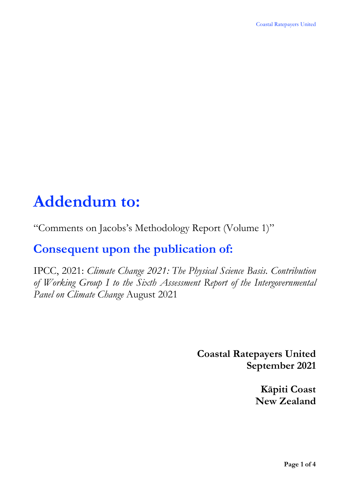# **Addendum to:**

"Comments on Jacobs's Methodology Report (Volume 1)"

# **Consequent upon the publication of:**

IPCC, 2021: *Climate Change 2021: The Physical Science Basis. Contribution of Working Group I to the Sixth Assessment Report of the Intergovernmental Panel on Climate Change* August 2021

> **Coastal Ratepayers United September 2021**

> > **Kāpiti Coast New Zealand**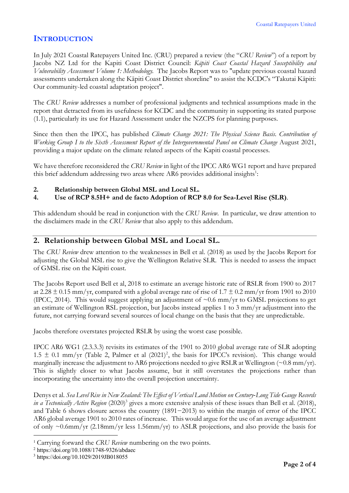## **INTRODUCTION**

In July 2021 Coastal Ratepayers United Inc. (CRU) prepared a review (the "*CRU Review*") of a report by Jacobs NZ Ltd for the Kapiti Coast District Council: *Kāpiti Coast Coastal Hazard Susceptibility and Vulnerability Assessment Volume 1: Methodology.* The Jacobs Report was to "update previous coastal hazard assessments undertaken along the Kāpiti Coast District shoreline" to assist the KCDC's "Takutai Kāpiti: Our community-led coastal adaptation project".

The *CRU Review* addresses a number of professional judgments and technical assumptions made in the report that detracted from its usefulness for KCDC and the community in supporting its stated purpose (1.1), particularly its use for Hazard Assessment under the NZCPS for planning purposes.

Since then then the IPCC, has published *Climate Change 2021: The Physical Science Basis. Contribution of Working Group I to the Sixth Assessment Report of the Intergovernmental Panel on Climate Change* August 2021, providing a major update on the climate related aspects of the Kapiti coastal processes.

We have therefore reconsidered the *CRU Review* in light of the IPCC AR6 WG1 report and have prepared this brief addendum addressing two areas where AR6 provides additional insights<sup>1</sup>:

- **2. Relationship between Global MSL and Local SL.**
- **4. Use of RCP 8.5H+ and de facto Adoption of RCP 8.0 for Sea-Level Rise (SLR)**.

This addendum should be read in conjunction with the *CRU Review*. In particular, we draw attention to the disclaimers made in the *CRU Review* that also apply to this addendum.

#### **2. Relationship between Global MSL and Local SL.**

The *CRU Review* drew attention to the weaknesses in Bell et al. (2018) as used by the Jacobs Report for adjusting the Global MSL rise to give the Wellington Relative SLR. This is needed to assess the impact of GMSL rise on the Kāpiti coast.

The Jacobs Report used Bell et al, 2018 to estimate an average historic rate of RSLR from 1900 to 2017 at 2.28  $\pm$  0.15 mm/yr, compared with a global average rate of rise of 1.7  $\pm$  0.2 mm/yr from 1901 to 2010 (IPCC, 2014). This would suggest applying an adjustment of  $\sim 0.6$  mm/yr to GMSL projections to get an estimate of Wellington RSL projection, but Jacobs instead applies 1 to 3 mm/yr adjustment into the future, not carrying forward several sources of local change on the basis that they are unpredictable.

Jacobs therefore overstates projected RSLR by using the worst case possible.

IPCC AR6 WG1 (2.3.3.3) revisits its estimates of the 1901 to 2010 global average rate of SLR adopting 1.5  $\pm$  0.1 mm/yr (Table 2, Palmer et al (2021)<sup>2</sup>, the basis for IPCC's revision). This change would marginally increase the adjustment to AR6 projections needed to give RSLR at Wellington (~0.8 mm/yr). This is slightly closer to what Jacobs assume, but it still overstates the projections rather than incorporating the uncertainty into the overall projection uncertainty.

Denys et al. Sea Level Rise in New Zealand: The Effect of Vertical Land Motion on Century-Long Tide Gauge Records *in a Tectonically Active Region* (2020)<sup>3</sup> gives a more extensive analysis of these issues than Bell et al. (2018), and Table 6 shows closure across the country (1891−2013) to within the margin of error of the IPCC AR6 global average 1901 to 2010 rates of increase. This would argue for the use of an average adjustment of only  $\sim 0.6$ mm/yr (2.18mm/yr less 1.56mm/yr) to ASLR projections, and also provide the basis for

<sup>1</sup> Carrying forward the *CRU Review* numbering on the two points.

<sup>2</sup> https://doi.org/10.1088/1748-9326/abdaec

<sup>3</sup> https://doi.org/10.1029/2019JB018055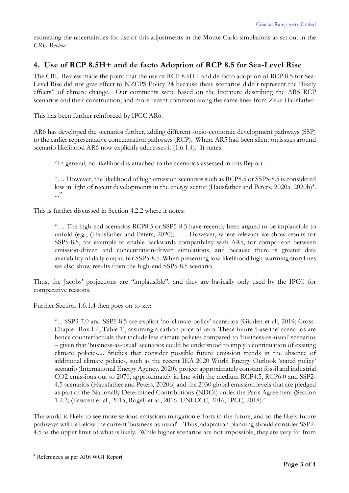estimating the uncertainties for use of this adjustments in the Monte Carlo simulations as set out in the *CRU Review*.

### **4. Use of RCP 8.5H+ and de facto Adoption of RCP 8.5 for Sea-Level Rise**

The CRU Review made the point that the use of RCP 8.5H+ and de facto adoption of RCP 8.5 for Sea-Level Rise did not give effect to NZCPS Policy 24 because these scenarios didn't represent the "likely effects" of climate change. Our comments were based on the literature describing the AR5 RCP scenarios and their construction, and more recent comment along the same lines from Zeke Hausfather.

This has been further reinforced by IPCC AR6.

AR6 has developed the scenarios further, adding different socio-economic development pathways (SSP) to the earlier representative concentration pathways (RCP). Where AR5 had been silent on issues around scenario likelihood AR6 now explicitly addresses it (1.6.1.4). It states:

"In general, no likelihood is attached to the scenarios assessed in this Report. …

"… However, the likelihood of high emission scenarios such as RCP8.5 or SSP5-8.5 is considered low in light of recent developments in the energy sector (Hausfather and Peters, 2020a, 2020b)<sup>4</sup>. ..."

This is further discussed in Section 4.2.2 where it notes:

"… The high-end scenarios RCP8.5 or SSP5-8.5 have recently been argued to be implausible to unfold (e.g., (Hausfather and Peters, 2020); … . However, where relevant we show results for SSP5-8.5, for example to enable backwards compatibility with AR5, for comparison between emission-driven and concentration-driven simulations, and because there is greater data availability of daily output for SSP5-8.5. When presenting low-likelihood high-warming storylines we also show results from the high-end SSP5-8.5 scenario.

Thus, the Jacobs' projections are "implausible", and they are basically only used by the IPCC for comparative reasons.

Further Section 1.6.1.4 then goes on to say:

"... SSP3-7.0 and SSP5-8.5 are explicit 'no-climate-policy' scenarios (Gidden et al., 2019; Cross-Chapter Box 1.4, Table 1), assuming a carbon price of zero. These future 'baseline' scenarios are hence counterfactuals that include less climate policies compared to 'business-as-usual' scenarios – given that 'business-as-usual' scenarios could be understood to imply a continuation of existing climate policies.... Studies that consider possible future emission trends in the absence of additional climate policies, such as the recent IEA 2020 World Energy Outlook 'stated policy' scenario (International Energy Agency, 2020), project approximately constant fossil and industrial CO2 emissions out to 2070, approximately in line with the medium RCP4.5, RCP6.0 and SSP2- 4.5 scenarios (Hausfather and Peters, 2020b) and the 2030 global emission levels that are pledged as part of the Nationally Determined Contributions (NDCs) under the Paris Agreement (Section 1.2.2; (Fawcett et al., 2015; Rogelj et al., 2016; UNFCCC, 2016; IPCC, 2018)."

The world is likely to see more serious emissions mitigation efforts in the future, and so the likely future pathways will be below the current 'business-as-usual'. Thus, adaptation planning should consider SSP2- 4.5 as the upper limit of what is likely. While higher scenarios are not impossible, they are very far from

<sup>4</sup> References as per AR6 WG1 Report.